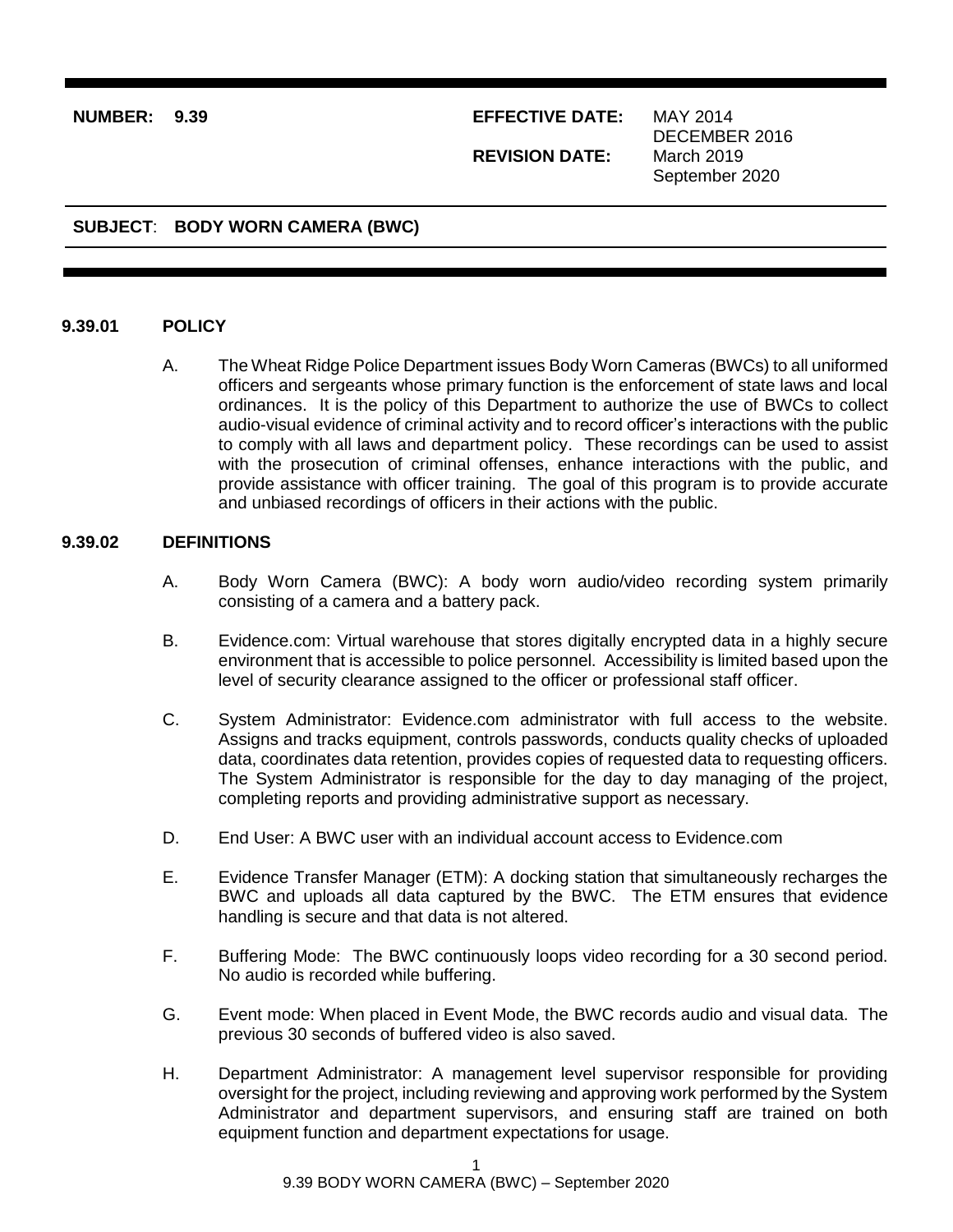### **NUMBER: 9.39 EFFECTIVE DATE:** MAY 2014

**REVISION DATE:**

DECEMBER 2016 March 2019 September 2020

# **SUBJECT**: **BODY WORN CAMERA (BWC)**

#### **9.39.01 POLICY**

A. The Wheat Ridge Police Department issues Body Worn Cameras (BWCs) to all uniformed officers and sergeants whose primary function is the enforcement of state laws and local ordinances. It is the policy of this Department to authorize the use of BWCs to collect audio-visual evidence of criminal activity and to record officer's interactions with the public to comply with all laws and department policy. These recordings can be used to assist with the prosecution of criminal offenses, enhance interactions with the public, and provide assistance with officer training. The goal of this program is to provide accurate and unbiased recordings of officers in their actions with the public.

## **9.39.02 DEFINITIONS**

- A. Body Worn Camera (BWC): A body worn audio/video recording system primarily consisting of a camera and a battery pack.
- B. Evidence.com: Virtual warehouse that stores digitally encrypted data in a highly secure environment that is accessible to police personnel. Accessibility is limited based upon the level of security clearance assigned to the officer or professional staff officer.
- C. System Administrator: Evidence.com administrator with full access to the website. Assigns and tracks equipment, controls passwords, conducts quality checks of uploaded data, coordinates data retention, provides copies of requested data to requesting officers. The System Administrator is responsible for the day to day managing of the project, completing reports and providing administrative support as necessary.
- D. End User: A BWC user with an individual account access to Evidence.com
- E. Evidence Transfer Manager (ETM): A docking station that simultaneously recharges the BWC and uploads all data captured by the BWC. The ETM ensures that evidence handling is secure and that data is not altered.
- F. Buffering Mode: The BWC continuously loops video recording for a 30 second period. No audio is recorded while buffering.
- G. Event mode: When placed in Event Mode, the BWC records audio and visual data. The previous 30 seconds of buffered video is also saved.
- H. Department Administrator: A management level supervisor responsible for providing oversight for the project, including reviewing and approving work performed by the System Administrator and department supervisors, and ensuring staff are trained on both equipment function and department expectations for usage.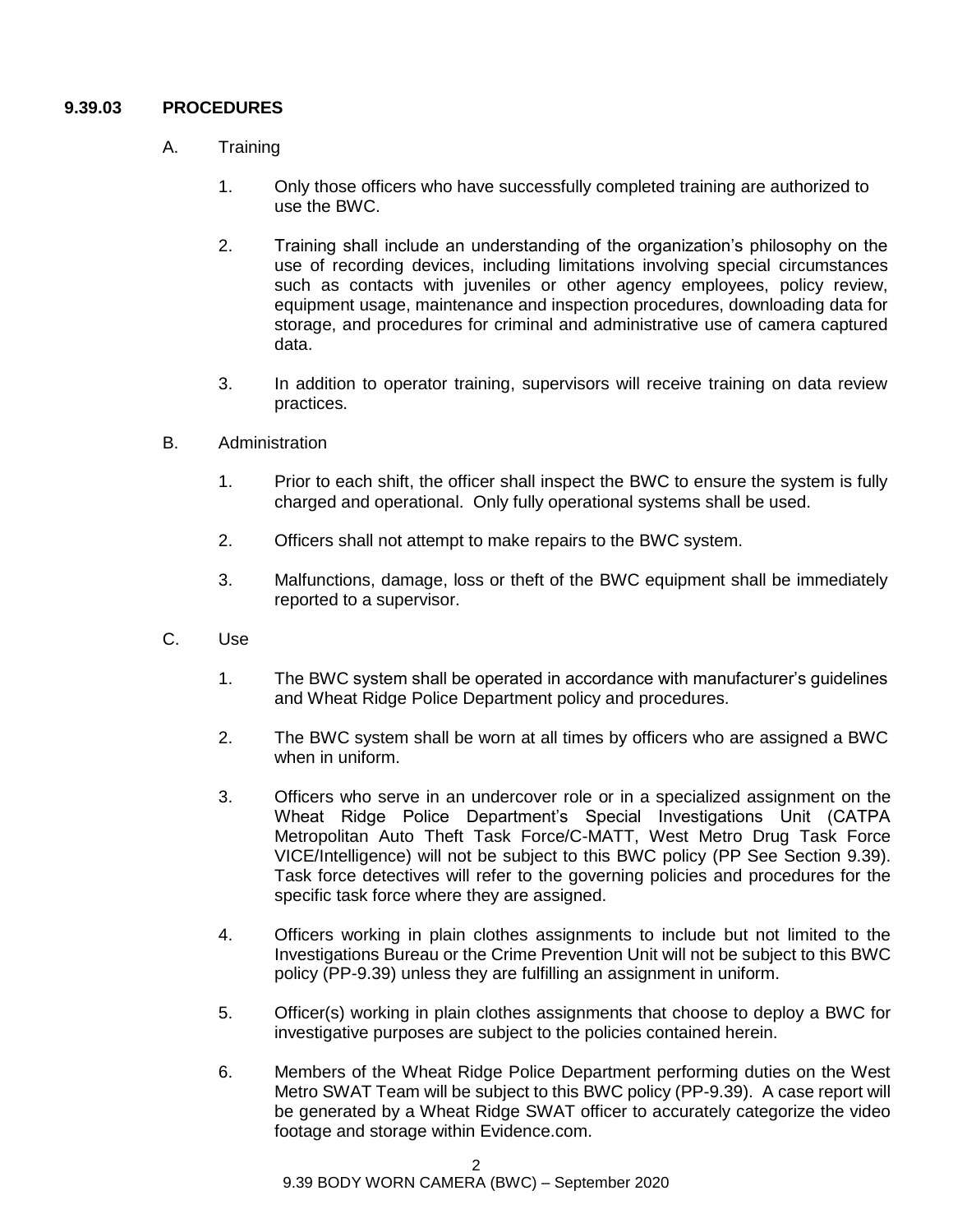# **9.39.03 PROCEDURES**

- A. Training
	- 1. Only those officers who have successfully completed training are authorized to use the BWC.
	- 2. Training shall include an understanding of the organization's philosophy on the use of recording devices, including limitations involving special circumstances such as contacts with juveniles or other agency employees, policy review, equipment usage, maintenance and inspection procedures, downloading data for storage, and procedures for criminal and administrative use of camera captured data.
	- 3. In addition to operator training, supervisors will receive training on data review practices.
- B. Administration
	- 1. Prior to each shift, the officer shall inspect the BWC to ensure the system is fully charged and operational. Only fully operational systems shall be used.
	- 2. Officers shall not attempt to make repairs to the BWC system.
	- 3. Malfunctions, damage, loss or theft of the BWC equipment shall be immediately reported to a supervisor.
- C. Use
	- 1. The BWC system shall be operated in accordance with manufacturer's guidelines and Wheat Ridge Police Department policy and procedures.
	- 2. The BWC system shall be worn at all times by officers who are assigned a BWC when in uniform.
	- 3. Officers who serve in an undercover role or in a specialized assignment on the Wheat Ridge Police Department's Special Investigations Unit (CATPA Metropolitan Auto Theft Task Force/C-MATT, West Metro Drug Task Force VICE/Intelligence) will not be subject to this BWC policy (PP See Section 9.39). Task force detectives will refer to the governing policies and procedures for the specific task force where they are assigned.
	- 4. Officers working in plain clothes assignments to include but not limited to the Investigations Bureau or the Crime Prevention Unit will not be subject to this BWC policy (PP-9.39) unless they are fulfilling an assignment in uniform.
	- 5. Officer(s) working in plain clothes assignments that choose to deploy a BWC for investigative purposes are subject to the policies contained herein.
	- 6. Members of the Wheat Ridge Police Department performing duties on the West Metro SWAT Team will be subject to this BWC policy (PP-9.39). A case report will be generated by a Wheat Ridge SWAT officer to accurately categorize the video footage and storage within Evidence.com.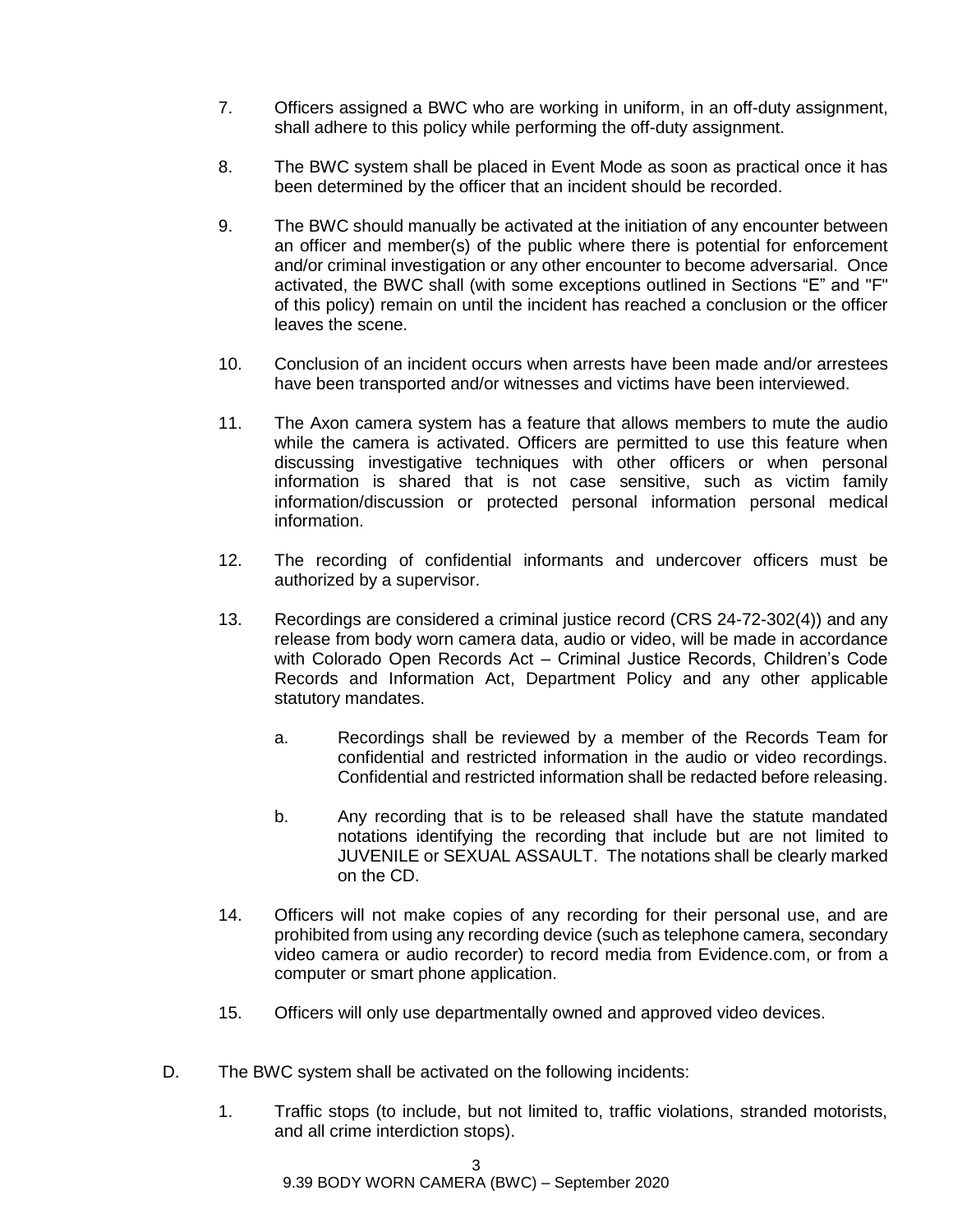- 7. Officers assigned a BWC who are working in uniform, in an off-duty assignment, shall adhere to this policy while performing the off-duty assignment.
- 8. The BWC system shall be placed in Event Mode as soon as practical once it has been determined by the officer that an incident should be recorded.
- 9. The BWC should manually be activated at the initiation of any encounter between an officer and member(s) of the public where there is potential for enforcement and/or criminal investigation or any other encounter to become adversarial. Once activated, the BWC shall (with some exceptions outlined in Sections "E" and "F" of this policy) remain on until the incident has reached a conclusion or the officer leaves the scene.
- 10. Conclusion of an incident occurs when arrests have been made and/or arrestees have been transported and/or witnesses and victims have been interviewed.
- 11. The Axon camera system has a feature that allows members to mute the audio while the camera is activated. Officers are permitted to use this feature when discussing investigative techniques with other officers or when personal information is shared that is not case sensitive, such as victim family information/discussion or protected personal information personal medical information.
- 12. The recording of confidential informants and undercover officers must be authorized by a supervisor.
- 13. Recordings are considered a criminal justice record (CRS 24-72-302(4)) and any release from body worn camera data, audio or video, will be made in accordance with Colorado Open Records Act – Criminal Justice Records, Children's Code Records and Information Act, Department Policy and any other applicable statutory mandates.
	- a. Recordings shall be reviewed by a member of the Records Team for confidential and restricted information in the audio or video recordings. Confidential and restricted information shall be redacted before releasing.
	- b. Any recording that is to be released shall have the statute mandated notations identifying the recording that include but are not limited to JUVENILE or SEXUAL ASSAULT. The notations shall be clearly marked on the CD.
- 14. Officers will not make copies of any recording for their personal use, and are prohibited from using any recording device (such as telephone camera, secondary video camera or audio recorder) to record media from Evidence.com, or from a computer or smart phone application.
- 15. Officers will only use departmentally owned and approved video devices.
- D. The BWC system shall be activated on the following incidents:
	- 1. Traffic stops (to include, but not limited to, traffic violations, stranded motorists, and all crime interdiction stops).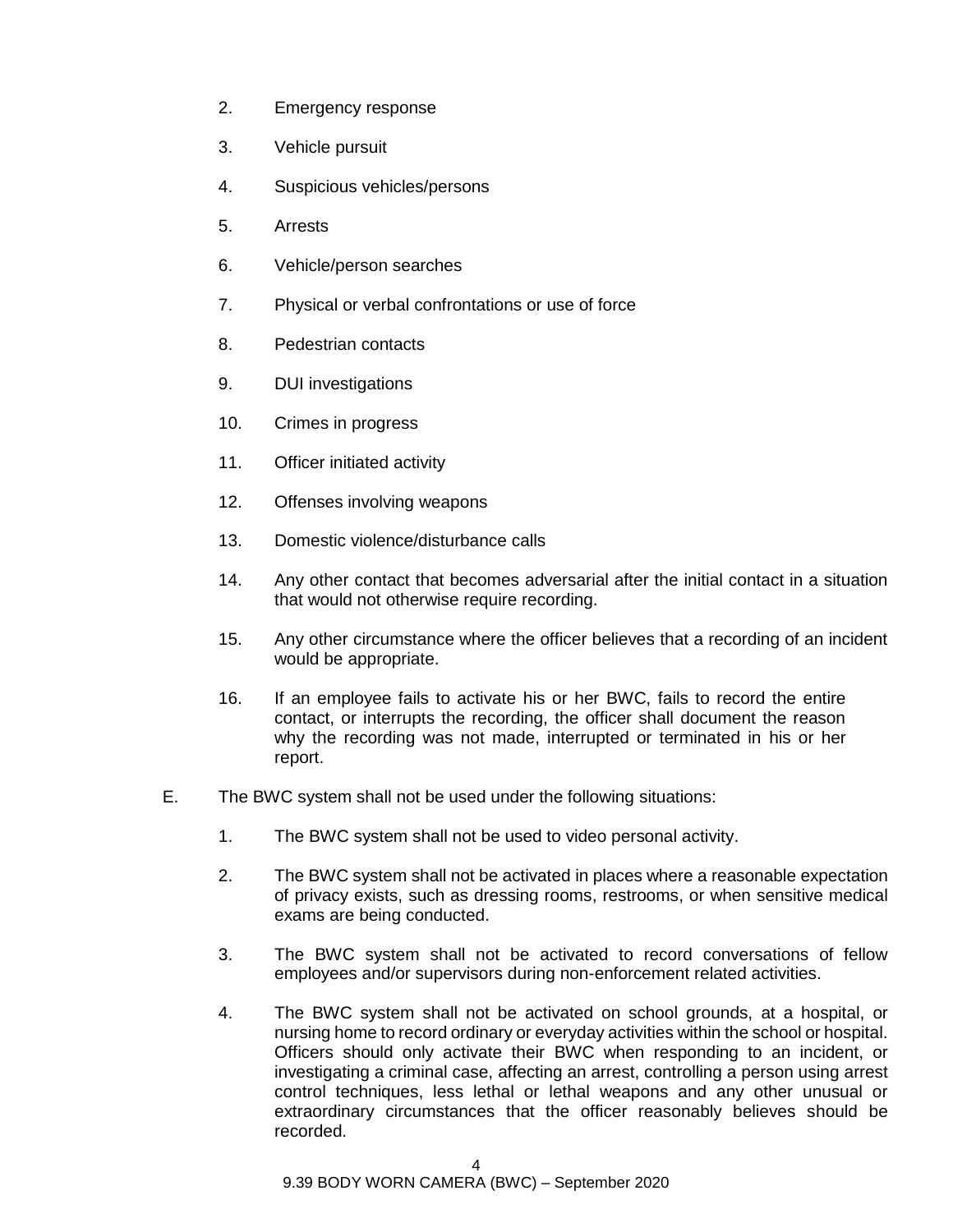- 2. Emergency response
- 3. Vehicle pursuit
- 4. Suspicious vehicles/persons
- 5. Arrests
- 6. Vehicle/person searches
- 7. Physical or verbal confrontations or use of force
- 8. Pedestrian contacts
- 9. DUI investigations
- 10. Crimes in progress
- 11. Officer initiated activity
- 12. Offenses involving weapons
- 13. Domestic violence/disturbance calls
- 14. Any other contact that becomes adversarial after the initial contact in a situation that would not otherwise require recording.
- 15. Any other circumstance where the officer believes that a recording of an incident would be appropriate.
- 16. If an employee fails to activate his or her BWC, fails to record the entire contact, or interrupts the recording, the officer shall document the reason why the recording was not made, interrupted or terminated in his or her report.
- E. The BWC system shall not be used under the following situations:
	- 1. The BWC system shall not be used to video personal activity.
	- 2. The BWC system shall not be activated in places where a reasonable expectation of privacy exists, such as dressing rooms, restrooms, or when sensitive medical exams are being conducted.
	- 3. The BWC system shall not be activated to record conversations of fellow employees and/or supervisors during non-enforcement related activities.
	- 4. The BWC system shall not be activated on school grounds, at a hospital, or nursing home to record ordinary or everyday activities within the school or hospital. Officers should only activate their BWC when responding to an incident, or investigating a criminal case, affecting an arrest, controlling a person using arrest control techniques, less lethal or lethal weapons and any other unusual or extraordinary circumstances that the officer reasonably believes should be recorded.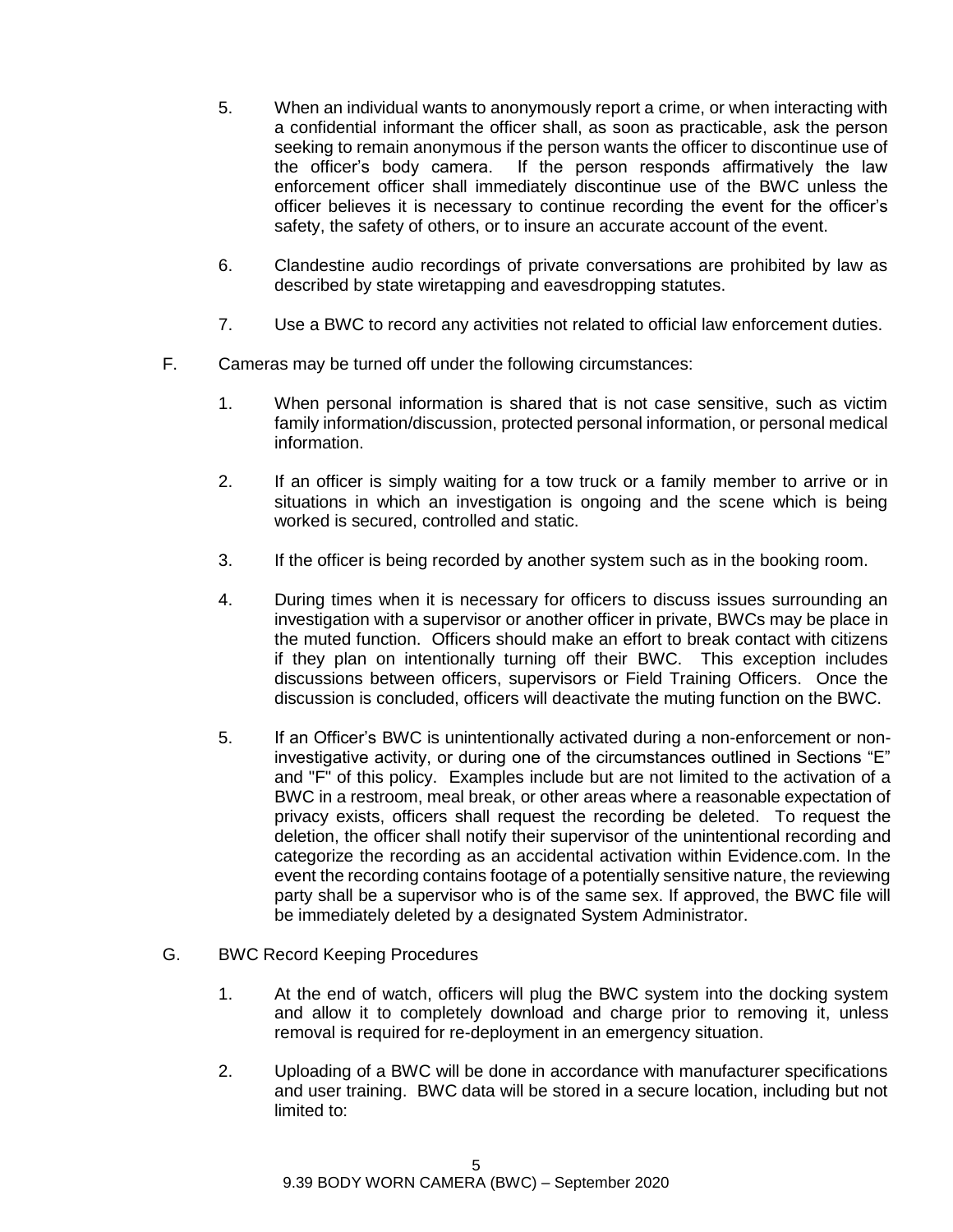- 5. When an individual wants to anonymously report a crime, or when interacting with a confidential informant the officer shall, as soon as practicable, ask the person seeking to remain anonymous if the person wants the officer to discontinue use of the officer's body camera. If the person responds affirmatively the law enforcement officer shall immediately discontinue use of the BWC unless the officer believes it is necessary to continue recording the event for the officer's safety, the safety of others, or to insure an accurate account of the event.
- 6. Clandestine audio recordings of private conversations are prohibited by law as described by state wiretapping and eavesdropping statutes.
- 7. Use a BWC to record any activities not related to official law enforcement duties.
- F. Cameras may be turned off under the following circumstances:
	- 1. When personal information is shared that is not case sensitive, such as victim family information/discussion, protected personal information, or personal medical information.
	- 2. If an officer is simply waiting for a tow truck or a family member to arrive or in situations in which an investigation is ongoing and the scene which is being worked is secured, controlled and static.
	- 3. If the officer is being recorded by another system such as in the booking room.
	- 4. During times when it is necessary for officers to discuss issues surrounding an investigation with a supervisor or another officer in private, BWCs may be place in the muted function. Officers should make an effort to break contact with citizens if they plan on intentionally turning off their BWC. This exception includes discussions between officers, supervisors or Field Training Officers. Once the discussion is concluded, officers will deactivate the muting function on the BWC.
	- 5. If an Officer's BWC is unintentionally activated during a non-enforcement or noninvestigative activity, or during one of the circumstances outlined in Sections "E" and "F" of this policy. Examples include but are not limited to the activation of a BWC in a restroom, meal break, or other areas where a reasonable expectation of privacy exists, officers shall request the recording be deleted. To request the deletion, the officer shall notify their supervisor of the unintentional recording and categorize the recording as an accidental activation within Evidence.com. In the event the recording contains footage of a potentially sensitive nature, the reviewing party shall be a supervisor who is of the same sex. If approved, the BWC file will be immediately deleted by a designated System Administrator.
- G. BWC Record Keeping Procedures
	- 1. At the end of watch, officers will plug the BWC system into the docking system and allow it to completely download and charge prior to removing it, unless removal is required for re-deployment in an emergency situation.
	- 2. Uploading of a BWC will be done in accordance with manufacturer specifications and user training. BWC data will be stored in a secure location, including but not limited to: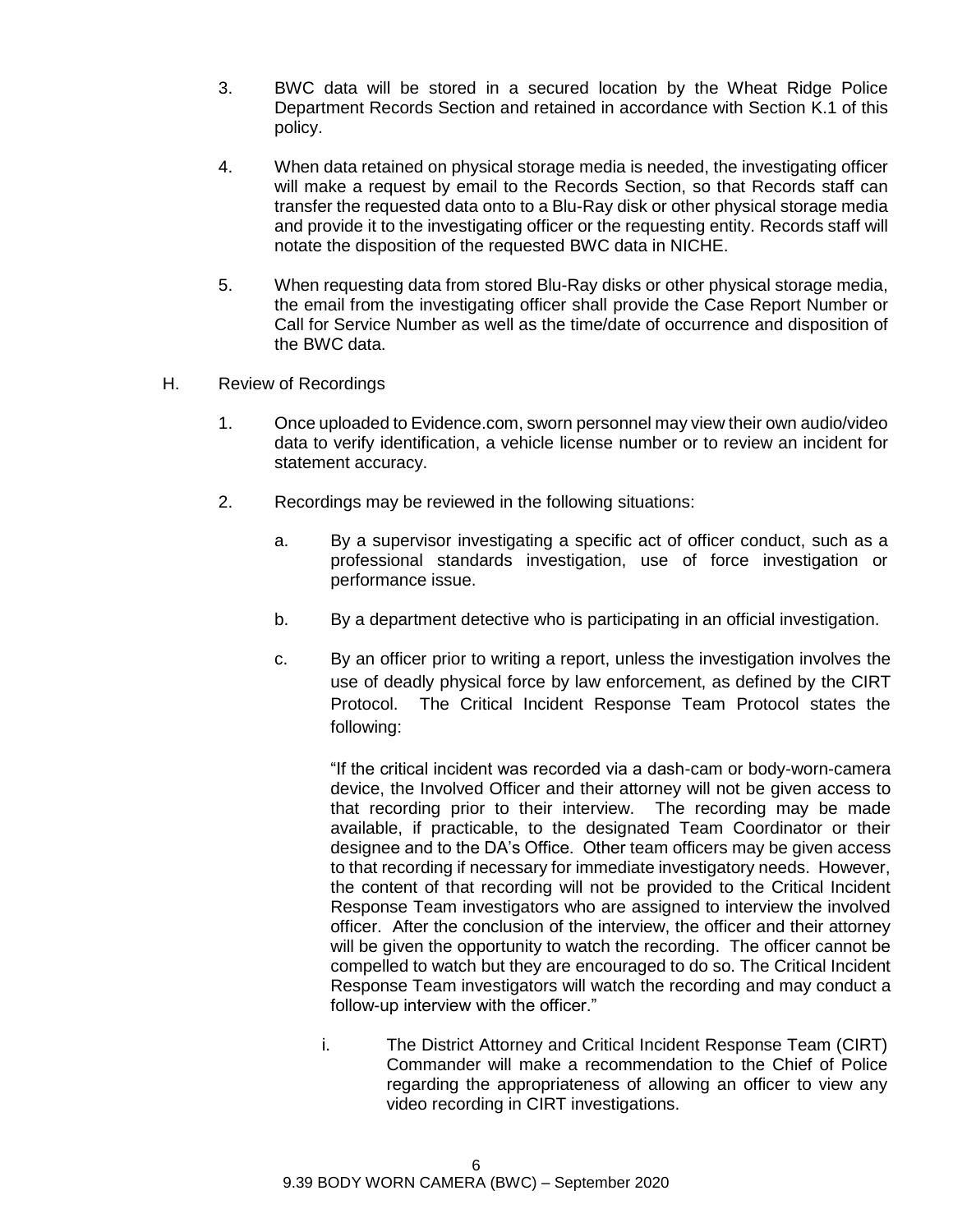- 3. BWC data will be stored in a secured location by the Wheat Ridge Police Department Records Section and retained in accordance with Section K.1 of this policy.
- 4. When data retained on physical storage media is needed, the investigating officer will make a request by email to the Records Section, so that Records staff can transfer the requested data onto to a Blu-Ray disk or other physical storage media and provide it to the investigating officer or the requesting entity. Records staff will notate the disposition of the requested BWC data in NICHE.
- 5. When requesting data from stored Blu-Ray disks or other physical storage media, the email from the investigating officer shall provide the Case Report Number or Call for Service Number as well as the time/date of occurrence and disposition of the BWC data.
- H. Review of Recordings
	- 1. Once uploaded to Evidence.com, sworn personnel may view their own audio/video data to verify identification, a vehicle license number or to review an incident for statement accuracy.
	- 2. Recordings may be reviewed in the following situations:
		- a. By a supervisor investigating a specific act of officer conduct, such as a professional standards investigation, use of force investigation or performance issue.
		- b. By a department detective who is participating in an official investigation.
		- c. By an officer prior to writing a report, unless the investigation involves the use of deadly physical force by law enforcement, as defined by the CIRT Protocol. The Critical Incident Response Team Protocol states the following:

"If the critical incident was recorded via a dash-cam or body-worn-camera device, the Involved Officer and their attorney will not be given access to that recording prior to their interview. The recording may be made available, if practicable, to the designated Team Coordinator or their designee and to the DA's Office. Other team officers may be given access to that recording if necessary for immediate investigatory needs. However, the content of that recording will not be provided to the Critical Incident Response Team investigators who are assigned to interview the involved officer. After the conclusion of the interview, the officer and their attorney will be given the opportunity to watch the recording. The officer cannot be compelled to watch but they are encouraged to do so. The Critical Incident Response Team investigators will watch the recording and may conduct a follow-up interview with the officer."

i. The District Attorney and Critical Incident Response Team (CIRT) Commander will make a recommendation to the Chief of Police regarding the appropriateness of allowing an officer to view any video recording in CIRT investigations.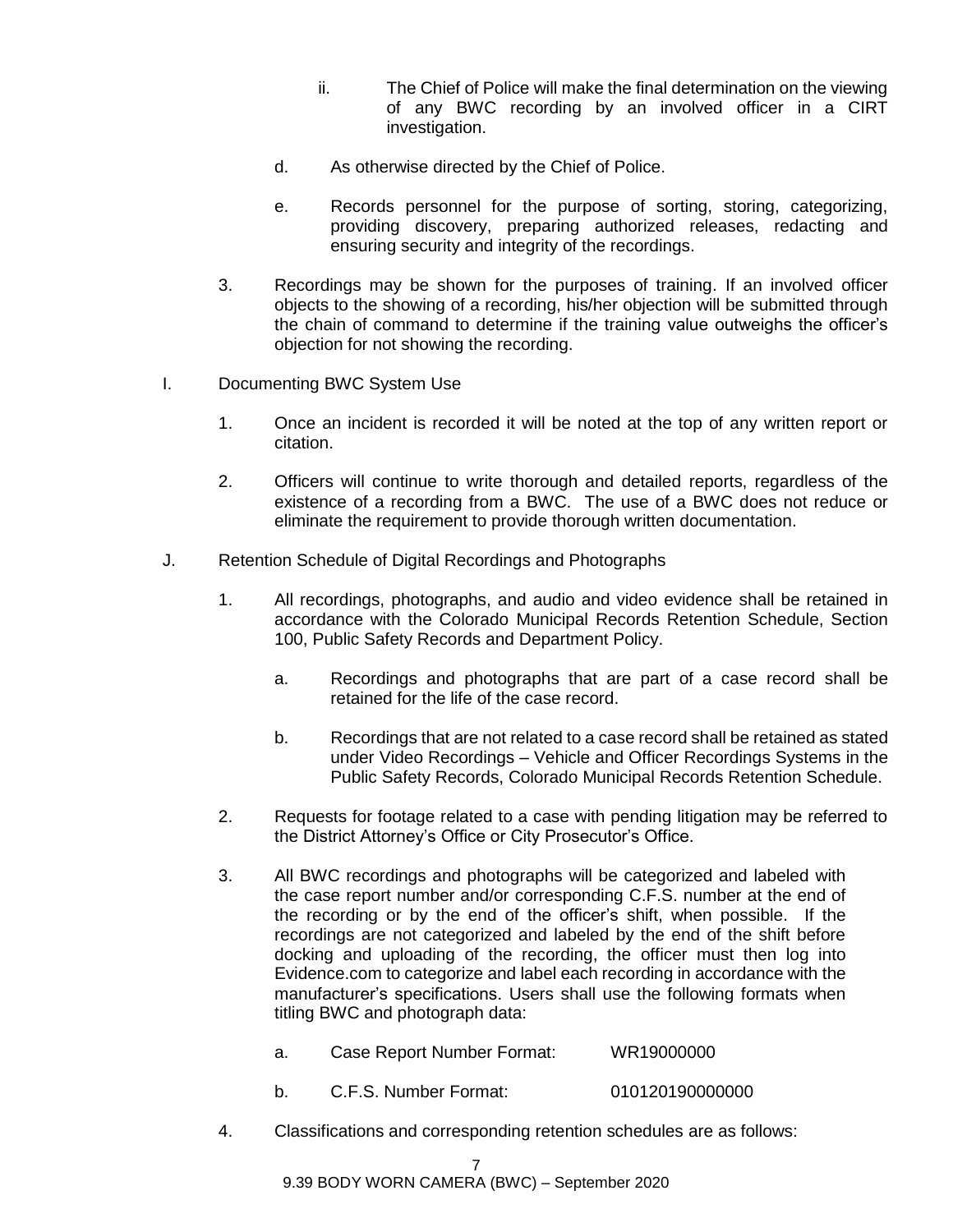- ii. The Chief of Police will make the final determination on the viewing of any BWC recording by an involved officer in a CIRT investigation.
- d. As otherwise directed by the Chief of Police.
- e. Records personnel for the purpose of sorting, storing, categorizing, providing discovery, preparing authorized releases, redacting and ensuring security and integrity of the recordings.
- 3. Recordings may be shown for the purposes of training. If an involved officer objects to the showing of a recording, his/her objection will be submitted through the chain of command to determine if the training value outweighs the officer's objection for not showing the recording.
- I. Documenting BWC System Use
	- 1. Once an incident is recorded it will be noted at the top of any written report or citation.
	- 2. Officers will continue to write thorough and detailed reports, regardless of the existence of a recording from a BWC. The use of a BWC does not reduce or eliminate the requirement to provide thorough written documentation.
- J. Retention Schedule of Digital Recordings and Photographs
	- 1. All recordings, photographs, and audio and video evidence shall be retained in accordance with the Colorado Municipal Records Retention Schedule, Section 100, Public Safety Records and Department Policy.
		- a. Recordings and photographs that are part of a case record shall be retained for the life of the case record.
		- b. Recordings that are not related to a case record shall be retained as stated under Video Recordings – Vehicle and Officer Recordings Systems in the Public Safety Records, Colorado Municipal Records Retention Schedule.
	- 2. Requests for footage related to a case with pending litigation may be referred to the District Attorney's Office or City Prosecutor's Office.
	- 3. All BWC recordings and photographs will be categorized and labeled with the case report number and/or corresponding C.F.S. number at the end of the recording or by the end of the officer's shift, when possible. If the recordings are not categorized and labeled by the end of the shift before docking and uploading of the recording, the officer must then log into Evidence.com to categorize and label each recording in accordance with the manufacturer's specifications. Users shall use the following formats when titling BWC and photograph data:
		- a. Case Report Number Format: WR19000000
		- b. C.F.S. Number Format: 010120190000000
	- 4. Classifications and corresponding retention schedules are as follows: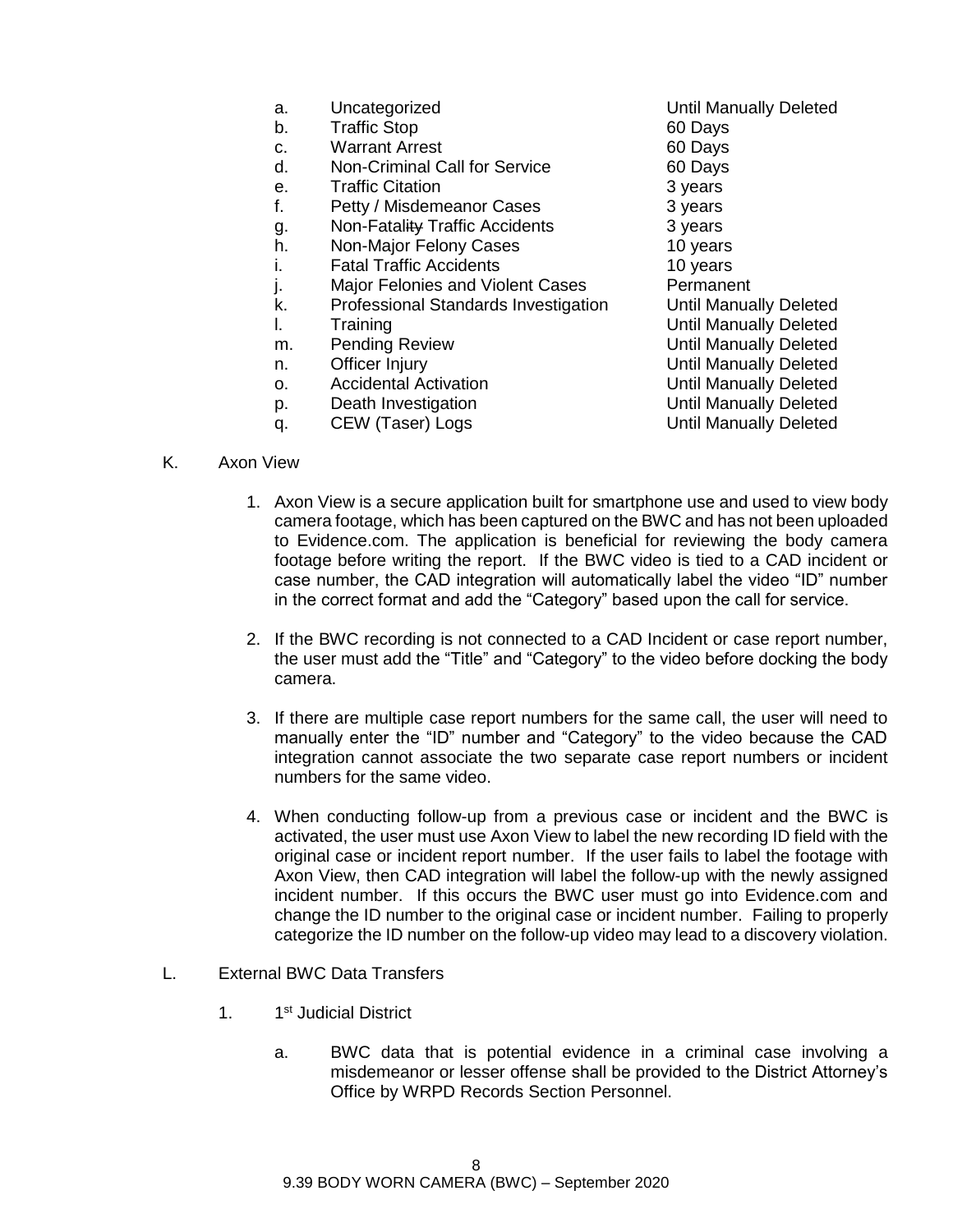- a. Uncategorized Until Manually Deleted
- b. Traffic Stop 60 Days
- c. Warrant Arrest 60 Days
- d. Non-Criminal Call for Service 60 Days
- e. Traffic Citation **3 years**
- f. Petty / Misdemeanor Cases 3 years
- g. Non-Fatality Traffic Accidents 3 years
- h. Non-Major Felony Cases 10 years
- i. Fatal Traffic Accidents **10 years**
- j. Major Felonies and Violent Cases<br>
k. Professional Standards Investigation Until Manually Deleted
- k. Professional Standards Investigation
- 
- m. Pending Review **No. 2018** Until Manually Deleted
- 
- o. Accidental Activation Controller and Manually Deleted
- p. Death Investigation **Death Investigation** Deleted
- q. CEW (Taser) Logs CREW Until Manually Deleted
- l. Training Until Manually Deleted n. Officer Injury **Nationally Deleted** Until Manually Deleted
- K. Axon View
	- 1. Axon View is a secure application built for smartphone use and used to view body camera footage, which has been captured on the BWC and has not been uploaded to Evidence.com. The application is beneficial for reviewing the body camera footage before writing the report. If the BWC video is tied to a CAD incident or case number, the CAD integration will automatically label the video "ID" number in the correct format and add the "Category" based upon the call for service.
	- 2. If the BWC recording is not connected to a CAD Incident or case report number, the user must add the "Title" and "Category" to the video before docking the body camera.
	- 3. If there are multiple case report numbers for the same call, the user will need to manually enter the "ID" number and "Category" to the video because the CAD integration cannot associate the two separate case report numbers or incident numbers for the same video.
	- 4. When conducting follow-up from a previous case or incident and the BWC is activated, the user must use Axon View to label the new recording ID field with the original case or incident report number. If the user fails to label the footage with Axon View, then CAD integration will label the follow-up with the newly assigned incident number. If this occurs the BWC user must go into Evidence.com and change the ID number to the original case or incident number. Failing to properly categorize the ID number on the follow-up video may lead to a discovery violation.

### L. External BWC Data Transfers

- $1<sub>1</sub>$ 1<sup>st</sup> Judicial District
	- a. BWC data that is potential evidence in a criminal case involving a misdemeanor or lesser offense shall be provided to the District Attorney's Office by WRPD Records Section Personnel.